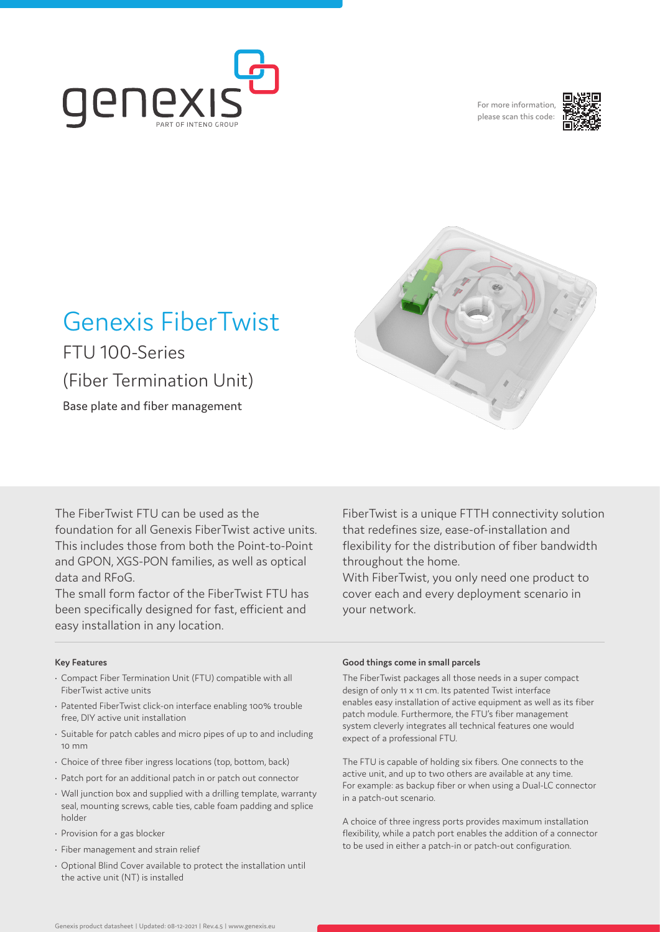

For more information please scan this code:





# Genexis FiberTwist

FTU 100-Series (Fiber Termination Unit)

Base plate and fiber management

The FiberTwist FTU can be used as the foundation for all Genexis FiberTwist active units. This includes those from both the Point-to-Point and GPON, XGS-PON families, as well as optical data and RFoG.

The small form factor of the FiberTwist FTU has been specifically designed for fast, efficient and easy installation in any location.

## **Key Features**

- Compact Fiber Termination Unit (FTU) compatible with all FiberTwist active units
- Patented FiberTwist click-on interface enabling 100% trouble free, DIY active unit installation
- Suitable for patch cables and micro pipes of up to and including 10 mm
- Choice of three fiber ingress locations (top, bottom, back)
- Patch port for an additional patch in or patch out connector
- Wall junction box and supplied with a drilling template, warranty seal, mounting screws, cable ties, cable foam padding and splice holder
- Provision for a gas blocker
- Fiber management and strain relief
- Optional Blind Cover available to protect the installation until the active unit (NT) is installed

FiberTwist is a unique FTTH connectivity solution that redefines size, ease-of-installation and flexibility for the distribution of fiber bandwidth throughout the home.

With FiberTwist, you only need one product to cover each and every deployment scenario in your network.

#### **Good things come in small parcels**

The FiberTwist packages all those needs in a super compact design of only 11 x 11 cm. Its patented Twist interface enables easy installation of active equipment as well as its fiber patch module. Furthermore, the FTU's fiber management system cleverly integrates all technical features one would expect of a professional FTU.

The FTU is capable of holding six fibers. One connects to the active unit, and up to two others are available at any time. For example: as backup fiber or when using a Dual-LC connector in a patch-out scenario.

A choice of three ingress ports provides maximum installation flexibility, while a patch port enables the addition of a connector to be used in either a patch-in or patch-out configuration.